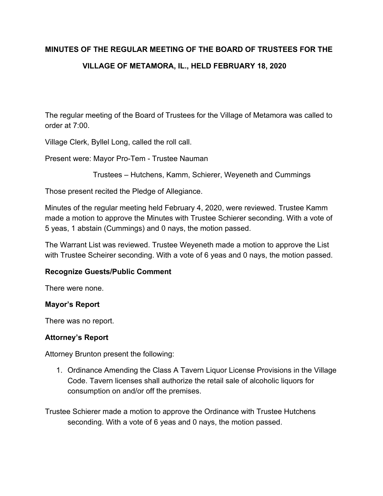# **MINUTES OF THE REGULAR MEETING OF THE BOARD OF TRUSTEES FOR THE VILLAGE OF METAMORA, IL., HELD FEBRUARY 18, 2020**

The regular meeting of the Board of Trustees for the Village of Metamora was called to order at 7:00.

Village Clerk, Byllel Long, called the roll call.

Present were: Mayor Pro-Tem - Trustee Nauman

Trustees – Hutchens, Kamm, Schierer, Weyeneth and Cummings

Those present recited the Pledge of Allegiance.

Minutes of the regular meeting held February 4, 2020, were reviewed. Trustee Kamm made a motion to approve the Minutes with Trustee Schierer seconding. With a vote of 5 yeas, 1 abstain (Cummings) and 0 nays, the motion passed.

The Warrant List was reviewed. Trustee Weyeneth made a motion to approve the List with Trustee Scheirer seconding. With a vote of 6 yeas and 0 nays, the motion passed.

## **Recognize Guests/Public Comment**

There were none.

## **Mayor's Report**

There was no report.

## **Attorney's Report**

Attorney Brunton present the following:

1. Ordinance Amending the Class A Tavern Liquor License Provisions in the Village Code. Tavern licenses shall authorize the retail sale of alcoholic liquors for consumption on and/or off the premises.

Trustee Schierer made a motion to approve the Ordinance with Trustee Hutchens seconding. With a vote of 6 yeas and 0 nays, the motion passed.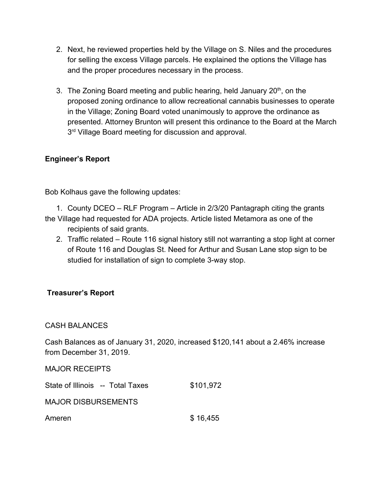- 2. Next, he reviewed properties held by the Village on S. Niles and the procedures for selling the excess Village parcels. He explained the options the Village has and the proper procedures necessary in the process.
- 3. The Zoning Board meeting and public hearing, held January 20<sup>th</sup>, on the proposed zoning ordinance to allow recreational cannabis businesses to operate in the Village; Zoning Board voted unanimously to approve the ordinance as presented. Attorney Brunton will present this ordinance to the Board at the March 3<sup>rd</sup> Village Board meeting for discussion and approval.

## **Engineer's Report**

Bob Kolhaus gave the following updates:

1. County DCEO – RLF Program – Article in 2/3/20 Pantagraph citing the grants the Village had requested for ADA projects. Article listed Metamora as one of the recipients of said grants.

2. Traffic related – Route 116 signal history still not warranting a stop light at corner of Route 116 and Douglas St. Need for Arthur and Susan Lane stop sign to be studied for installation of sign to complete 3-way stop.

## **Treasurer's Report**

## CASH BALANCES

Cash Balances as of January 31, 2020, increased \$120,141 about a 2.46% increase from December 31, 2019.

MAJOR RECEIPTS

| State of Illinois -- Total Taxes | \$101,972 |
|----------------------------------|-----------|
| <b>MAJOR DISBURSEMENTS</b>       |           |
| Ameren                           | \$16,455  |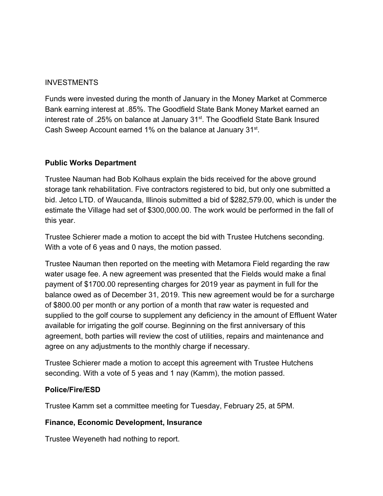## INVESTMENTS

Funds were invested during the month of January in the Money Market at Commerce Bank earning interest at .85%. The Goodfield State Bank Money Market earned an interest rate of .25% on balance at January 31<sup>st</sup>. The Goodfield State Bank Insured Cash Sweep Account earned 1% on the balance at January 31<sup>st</sup>.

## **Public Works Department**

Trustee Nauman had Bob Kolhaus explain the bids received for the above ground storage tank rehabilitation. Five contractors registered to bid, but only one submitted a bid. Jetco LTD. of Waucanda, Illinois submitted a bid of \$282,579.00, which is under the estimate the Village had set of \$300,000.00. The work would be performed in the fall of this year.

Trustee Schierer made a motion to accept the bid with Trustee Hutchens seconding. With a vote of 6 yeas and 0 nays, the motion passed.

Trustee Nauman then reported on the meeting with Metamora Field regarding the raw water usage fee. A new agreement was presented that the Fields would make a final payment of \$1700.00 representing charges for 2019 year as payment in full for the balance owed as of December 31, 2019. This new agreement would be for a surcharge of \$800.00 per month or any portion of a month that raw water is requested and supplied to the golf course to supplement any deficiency in the amount of Effluent Water available for irrigating the golf course. Beginning on the first anniversary of this agreement, both parties will review the cost of utilities, repairs and maintenance and agree on any adjustments to the monthly charge if necessary.

Trustee Schierer made a motion to accept this agreement with Trustee Hutchens seconding. With a vote of 5 yeas and 1 nay (Kamm), the motion passed.

## **Police/Fire/ESD**

Trustee Kamm set a committee meeting for Tuesday, February 25, at 5PM.

## **Finance, Economic Development, Insurance**

Trustee Weyeneth had nothing to report.